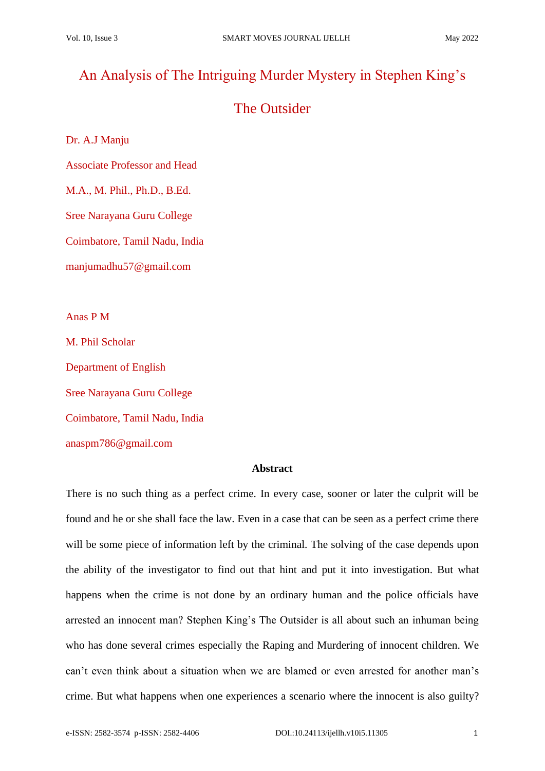# An Analysis of The Intriguing Murder Mystery in Stephen King's

# The Outsider

Dr. A.J Manju

Associate Professor and Head

M.A., M. Phil., Ph.D., B.Ed.

Sree Narayana Guru College

Coimbatore, Tamil Nadu, India

manjumadhu57@gmail.com

Anas P M

M. Phil Scholar

Department of English

Sree Narayana Guru College

Coimbatore, Tamil Nadu, India

anaspm786@gmail.com

## **Abstract**

There is no such thing as a perfect crime. In every case, sooner or later the culprit will be found and he or she shall face the law. Even in a case that can be seen as a perfect crime there will be some piece of information left by the criminal. The solving of the case depends upon the ability of the investigator to find out that hint and put it into investigation. But what happens when the crime is not done by an ordinary human and the police officials have arrested an innocent man? Stephen King's The Outsider is all about such an inhuman being who has done several crimes especially the Raping and Murdering of innocent children. We can't even think about a situation when we are blamed or even arrested for another man's crime. But what happens when one experiences a scenario where the innocent is also guilty?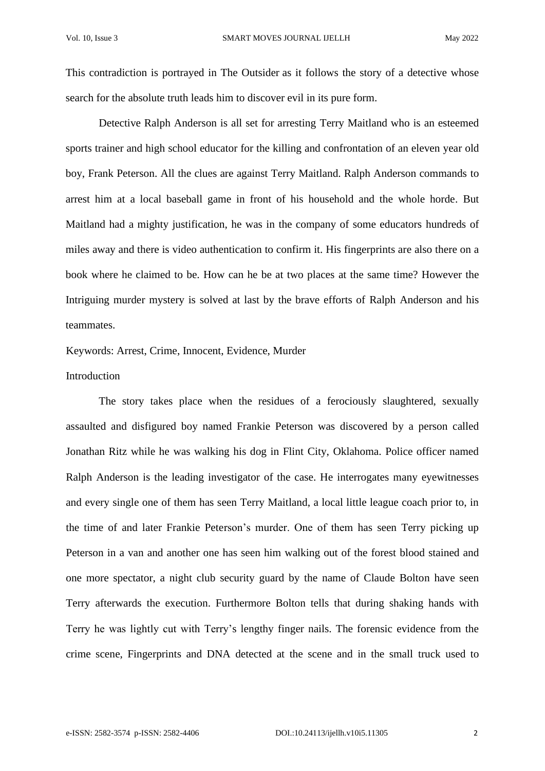This contradiction is portrayed in The Outsider as it follows the story of a detective whose search for the absolute truth leads him to discover evil in its pure form.

Detective Ralph Anderson is all set for arresting Terry Maitland who is an esteemed sports trainer and high school educator for the killing and confrontation of an eleven year old boy, Frank Peterson. All the clues are against Terry Maitland. Ralph Anderson commands to arrest him at a local baseball game in front of his household and the whole horde. But Maitland had a mighty justification, he was in the company of some educators hundreds of miles away and there is video authentication to confirm it. His fingerprints are also there on a book where he claimed to be. How can he be at two places at the same time? However the Intriguing murder mystery is solved at last by the brave efforts of Ralph Anderson and his teammates.

Keywords: Arrest, Crime, Innocent, Evidence, Murder

## Introduction

The story takes place when the residues of a ferociously slaughtered, sexually assaulted and disfigured boy named Frankie Peterson was discovered by a person called Jonathan Ritz while he was walking his dog in Flint City, Oklahoma. Police officer named Ralph Anderson is the leading investigator of the case. He interrogates many eyewitnesses and every single one of them has seen Terry Maitland, a local little league coach prior to, in the time of and later Frankie Peterson's murder. One of them has seen Terry picking up Peterson in a van and another one has seen him walking out of the forest blood stained and one more spectator, a night club security guard by the name of Claude Bolton have seen Terry afterwards the execution. Furthermore Bolton tells that during shaking hands with Terry he was lightly cut with Terry's lengthy finger nails. The forensic evidence from the crime scene, Fingerprints and DNA detected at the scene and in the small truck used to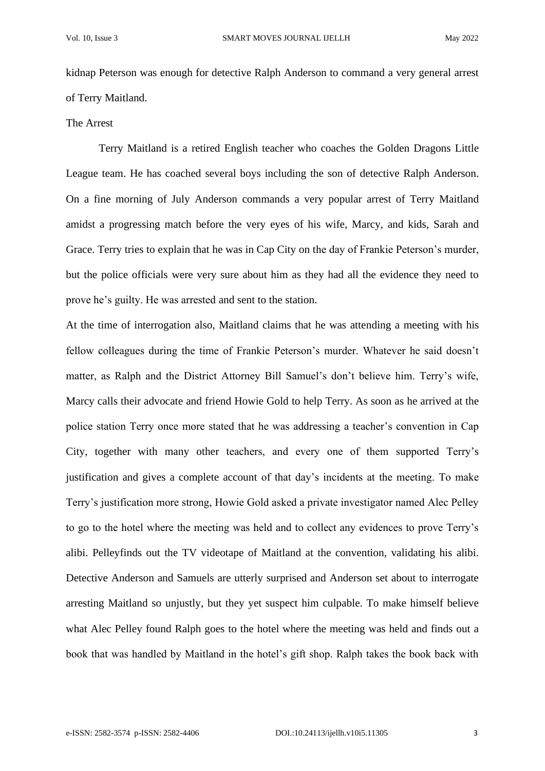kidnap Peterson was enough for detective Ralph Anderson to command a very general arrest of Terry Maitland.

#### The Arrest

Terry Maitland is a retired English teacher who coaches the Golden Dragons Little League team. He has coached several boys including the son of detective Ralph Anderson. On a fine morning of July Anderson commands a very popular arrest of Terry Maitland amidst a progressing match before the very eyes of his wife, Marcy, and kids, Sarah and Grace. Terry tries to explain that he was in Cap City on the day of Frankie Peterson's murder, but the police officials were very sure about him as they had all the evidence they need to prove he's guilty. He was arrested and sent to the station.

At the time of interrogation also, Maitland claims that he was attending a meeting with his fellow colleagues during the time of Frankie Peterson's murder. Whatever he said doesn't matter, as Ralph and the District Attorney Bill Samuel's don't believe him. Terry's wife, Marcy calls their advocate and friend Howie Gold to help Terry. As soon as he arrived at the police station Terry once more stated that he was addressing a teacher's convention in Cap City, together with many other teachers, and every one of them supported Terry's justification and gives a complete account of that day's incidents at the meeting. To make Terry's justification more strong, Howie Gold asked a private investigator named Alec Pelley to go to the hotel where the meeting was held and to collect any evidences to prove Terry's alibi. Pelleyfinds out the TV videotape of Maitland at the convention, validating his alibi. Detective Anderson and Samuels are utterly surprised and Anderson set about to interrogate arresting Maitland so unjustly, but they yet suspect him culpable. To make himself believe what Alec Pelley found Ralph goes to the hotel where the meeting was held and finds out a book that was handled by Maitland in the hotel's gift shop. Ralph takes the book back with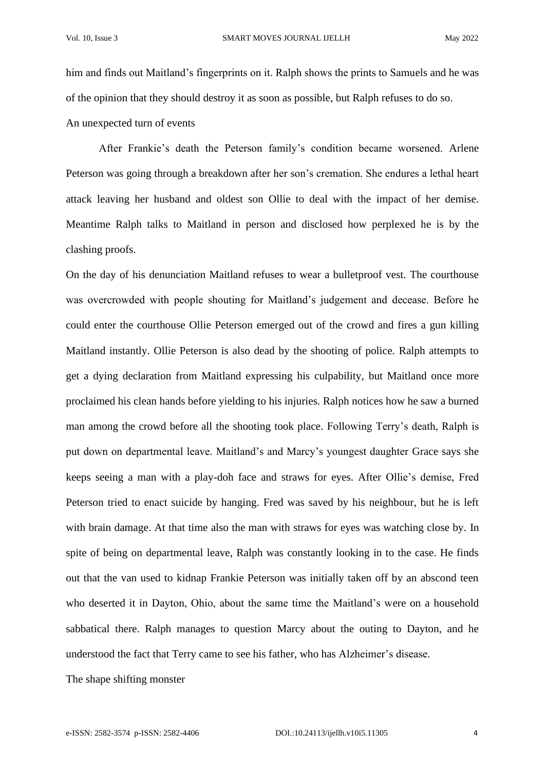him and finds out Maitland's fingerprints on it. Ralph shows the prints to Samuels and he was of the opinion that they should destroy it as soon as possible, but Ralph refuses to do so.

An unexpected turn of events

After Frankie's death the Peterson family's condition became worsened. Arlene Peterson was going through a breakdown after her son's cremation. She endures a lethal heart attack leaving her husband and oldest son Ollie to deal with the impact of her demise. Meantime Ralph talks to Maitland in person and disclosed how perplexed he is by the clashing proofs.

On the day of his denunciation Maitland refuses to wear a bulletproof vest. The courthouse was overcrowded with people shouting for Maitland's judgement and decease. Before he could enter the courthouse Ollie Peterson emerged out of the crowd and fires a gun killing Maitland instantly. Ollie Peterson is also dead by the shooting of police. Ralph attempts to get a dying declaration from Maitland expressing his culpability, but Maitland once more proclaimed his clean hands before yielding to his injuries. Ralph notices how he saw a burned man among the crowd before all the shooting took place. Following Terry's death, Ralph is put down on departmental leave. Maitland's and Marcy's youngest daughter Grace says she keeps seeing a man with a play-doh face and straws for eyes. After Ollie's demise, Fred Peterson tried to enact suicide by hanging. Fred was saved by his neighbour, but he is left with brain damage. At that time also the man with straws for eyes was watching close by. In spite of being on departmental leave, Ralph was constantly looking in to the case. He finds out that the van used to kidnap Frankie Peterson was initially taken off by an abscond teen who deserted it in Dayton, Ohio, about the same time the Maitland's were on a household sabbatical there. Ralph manages to question Marcy about the outing to Dayton, and he understood the fact that Terry came to see his father, who has Alzheimer's disease.

The shape shifting monster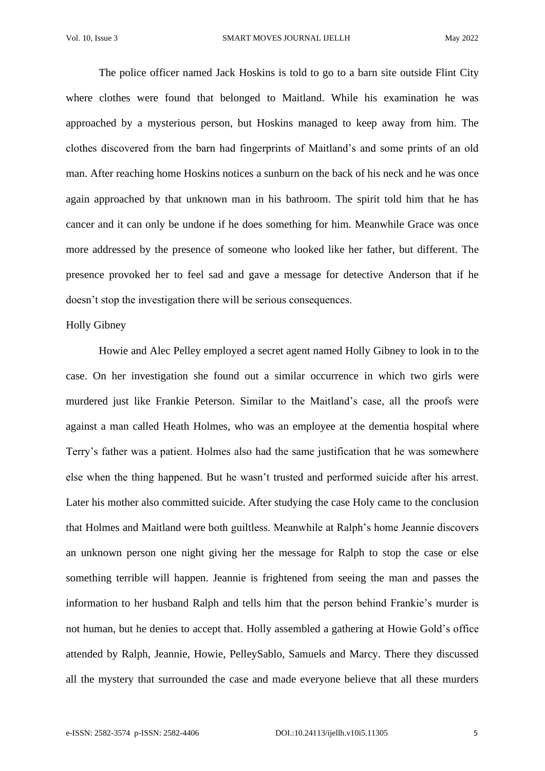The police officer named Jack Hoskins is told to go to a barn site outside Flint City where clothes were found that belonged to Maitland. While his examination he was approached by a mysterious person, but Hoskins managed to keep away from him. The clothes discovered from the barn had fingerprints of Maitland's and some prints of an old man. After reaching home Hoskins notices a sunburn on the back of his neck and he was once again approached by that unknown man in his bathroom. The spirit told him that he has cancer and it can only be undone if he does something for him. Meanwhile Grace was once more addressed by the presence of someone who looked like her father, but different. The presence provoked her to feel sad and gave a message for detective Anderson that if he doesn't stop the investigation there will be serious consequences.

## Holly Gibney

Howie and Alec Pelley employed a secret agent named Holly Gibney to look in to the case. On her investigation she found out a similar occurrence in which two girls were murdered just like Frankie Peterson. Similar to the Maitland's case, all the proofs were against a man called Heath Holmes, who was an employee at the dementia hospital where Terry's father was a patient. Holmes also had the same justification that he was somewhere else when the thing happened. But he wasn't trusted and performed suicide after his arrest. Later his mother also committed suicide. After studying the case Holy came to the conclusion that Holmes and Maitland were both guiltless. Meanwhile at Ralph's home Jeannie discovers an unknown person one night giving her the message for Ralph to stop the case or else something terrible will happen. Jeannie is frightened from seeing the man and passes the information to her husband Ralph and tells him that the person behind Frankie's murder is not human, but he denies to accept that. Holly assembled a gathering at Howie Gold's office attended by Ralph, Jeannie, Howie, PelleySablo, Samuels and Marcy. There they discussed all the mystery that surrounded the case and made everyone believe that all these murders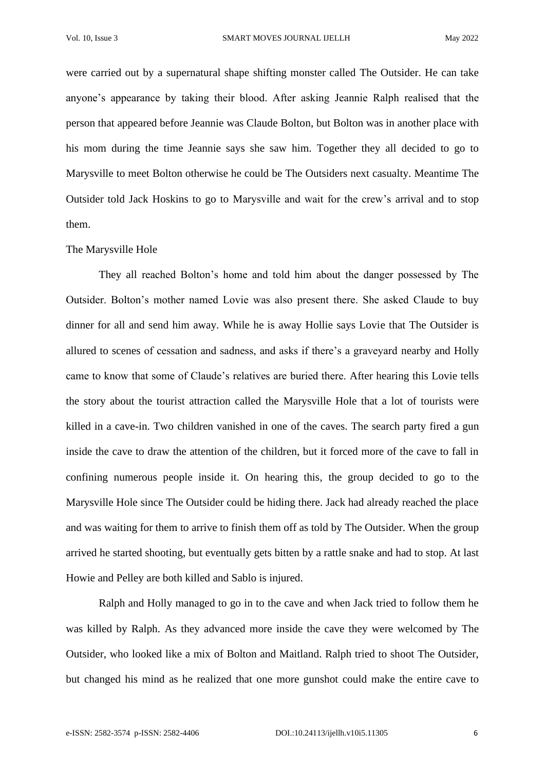were carried out by a supernatural shape shifting monster called The Outsider. He can take anyone's appearance by taking their blood. After asking Jeannie Ralph realised that the person that appeared before Jeannie was Claude Bolton, but Bolton was in another place with his mom during the time Jeannie says she saw him. Together they all decided to go to Marysville to meet Bolton otherwise he could be The Outsiders next casualty. Meantime The Outsider told Jack Hoskins to go to Marysville and wait for the crew's arrival and to stop them.

#### The Marysville Hole

They all reached Bolton's home and told him about the danger possessed by The Outsider. Bolton's mother named Lovie was also present there. She asked Claude to buy dinner for all and send him away. While he is away Hollie says Lovie that The Outsider is allured to scenes of cessation and sadness, and asks if there's a graveyard nearby and Holly came to know that some of Claude's relatives are buried there. After hearing this Lovie tells the story about the tourist attraction called the Marysville Hole that a lot of tourists were killed in a cave-in. Two children vanished in one of the caves. The search party fired a gun inside the cave to draw the attention of the children, but it forced more of the cave to fall in confining numerous people inside it. On hearing this, the group decided to go to the Marysville Hole since The Outsider could be hiding there. Jack had already reached the place and was waiting for them to arrive to finish them off as told by The Outsider. When the group arrived he started shooting, but eventually gets bitten by a rattle snake and had to stop. At last Howie and Pelley are both killed and Sablo is injured.

Ralph and Holly managed to go in to the cave and when Jack tried to follow them he was killed by Ralph. As they advanced more inside the cave they were welcomed by The Outsider, who looked like a mix of Bolton and Maitland. Ralph tried to shoot The Outsider, but changed his mind as he realized that one more gunshot could make the entire cave to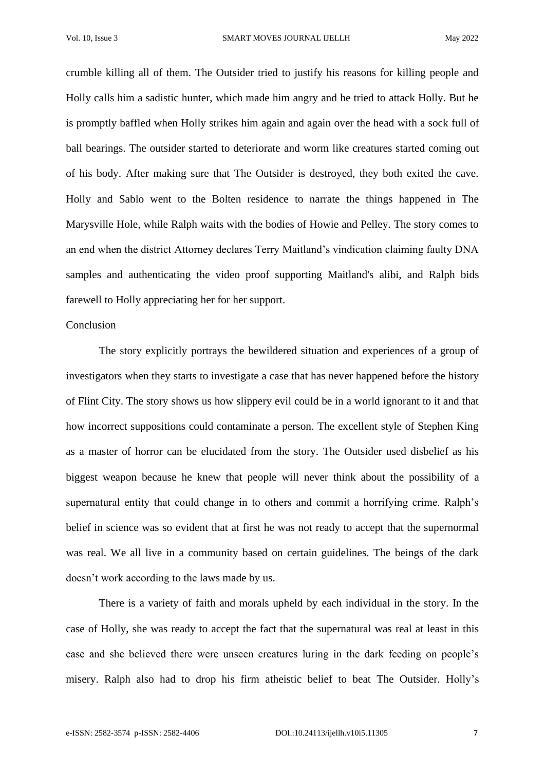crumble killing all of them. The Outsider tried to justify his reasons for killing people and Holly calls him a sadistic hunter, which made him angry and he tried to attack Holly. But he is promptly baffled when Holly strikes him again and again over the head with a sock full of ball bearings. The outsider started to deteriorate and worm like creatures started coming out of his body. After making sure that The Outsider is destroyed, they both exited the cave. Holly and Sablo went to the Bolten residence to narrate the things happened in The Marysville Hole, while Ralph waits with the bodies of Howie and Pelley. The story comes to an end when the district Attorney declares Terry Maitland's vindication claiming faulty DNA samples and authenticating the video proof supporting Maitland's alibi, and Ralph bids farewell to Holly appreciating her for her support.

### Conclusion

The story explicitly portrays the bewildered situation and experiences of a group of investigators when they starts to investigate a case that has never happened before the history of Flint City. The story shows us how slippery evil could be in a world ignorant to it and that how incorrect suppositions could contaminate a person. The excellent style of Stephen King as a master of horror can be elucidated from the story. The Outsider used disbelief as his biggest weapon because he knew that people will never think about the possibility of a supernatural entity that could change in to others and commit a horrifying crime. Ralph's belief in science was so evident that at first he was not ready to accept that the supernormal was real. We all live in a community based on certain guidelines. The beings of the dark doesn't work according to the laws made by us.

There is a variety of faith and morals upheld by each individual in the story. In the case of Holly, she was ready to accept the fact that the supernatural was real at least in this case and she believed there were unseen creatures luring in the dark feeding on people's misery. Ralph also had to drop his firm atheistic belief to beat The Outsider. Holly's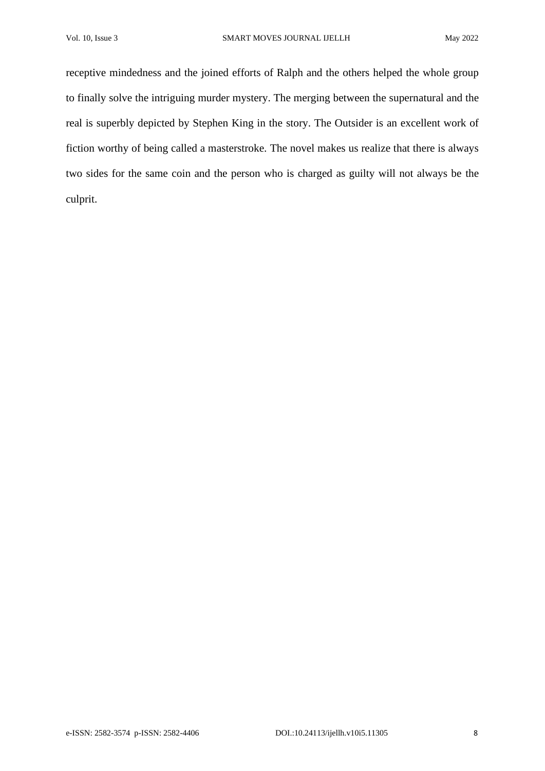receptive mindedness and the joined efforts of Ralph and the others helped the whole group to finally solve the intriguing murder mystery. The merging between the supernatural and the real is superbly depicted by Stephen King in the story. The Outsider is an excellent work of fiction worthy of being called a masterstroke. The novel makes us realize that there is always two sides for the same coin and the person who is charged as guilty will not always be the culprit.